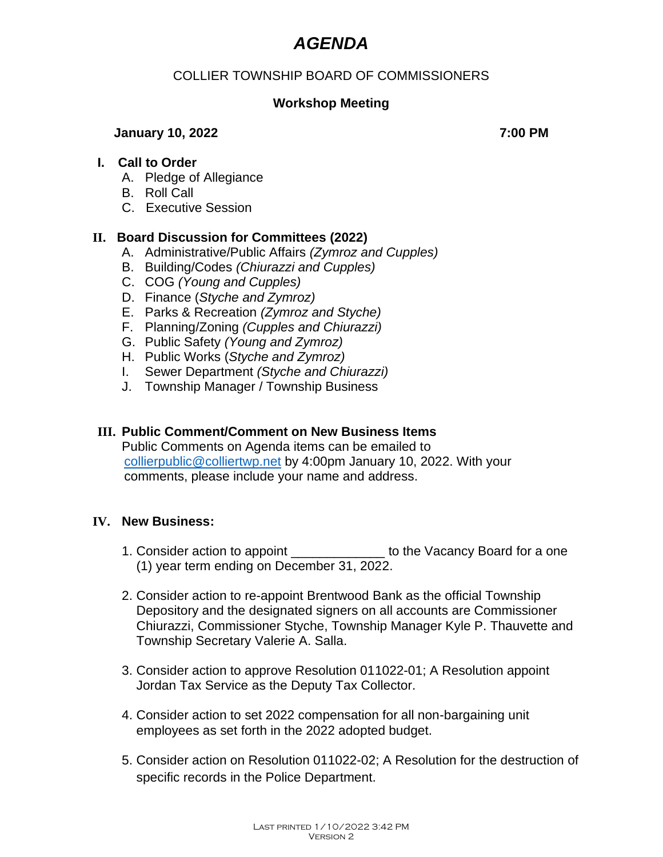# *AGENDA*

# COLLIER TOWNSHIP BOARD OF COMMISSIONERS

# **Workshop Meeting**

### **January 10, 2022 7:00 PM**

## **I. Call to Order**

- A. Pledge of Allegiance
- B. Roll Call
- C. Executive Session

# **II. Board Discussion for Committees (2022)**

- A. Administrative/Public Affairs *(Zymroz and Cupples)*
- B. Building/Codes *(Chiurazzi and Cupples)*
- C. COG *(Young and Cupples)*
- D. Finance (*Styche and Zymroz)*
- E. Parks & Recreation *(Zymroz and Styche)*
- F. Planning/Zoning *(Cupples and Chiurazzi)*
- G. Public Safety *(Young and Zymroz)*
- H. Public Works (*Styche and Zymroz)*
- I. Sewer Department *(Styche and Chiurazzi)*
- J. Township Manager / Township Business

## **III. Public Comment/Comment on New Business Items**

Public Comments on Agenda items can be emailed to [collierpublic@colliertwp.net](mailto:collierpublic@colliertwp.net) by 4:00pm January 10, 2022. With your comments, please include your name and address.

#### **IV. New Business:**

- 1. Consider action to appoint \_\_\_\_\_\_\_\_\_\_\_\_\_ to the Vacancy Board for a one (1) year term ending on December 31, 2022.
- 2. Consider action to re-appoint Brentwood Bank as the official Township Depository and the designated signers on all accounts are Commissioner Chiurazzi, Commissioner Styche, Township Manager Kyle P. Thauvette and Township Secretary Valerie A. Salla.
- 3. Consider action to approve Resolution 011022-01; A Resolution appoint Jordan Tax Service as the Deputy Tax Collector.
- 4. Consider action to set 2022 compensation for all non-bargaining unit employees as set forth in the 2022 adopted budget.
- 5. Consider action on Resolution 011022-02; A Resolution for the destruction of specific records in the Police Department.